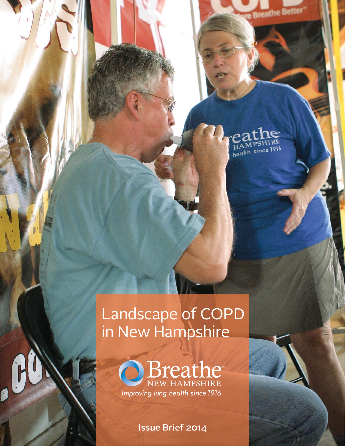**Breathe Better** 

## $\overline{e}$ HAMPSHIRE<br>health since 1916

# Landscape of COPD in New Hampshire



Issue Brief 2014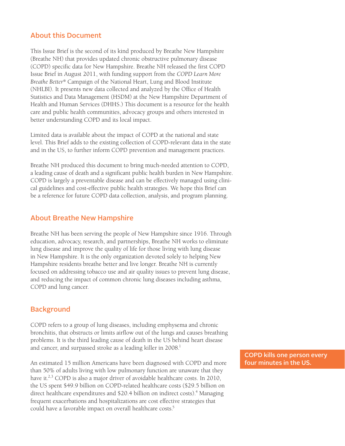#### About this Document

This Issue Brief is the second of its kind produced by Breathe New Hampshire (Breathe NH) that provides updated chronic obstructive pulmonary disease (COPD) specific data for New Hampshire. Breathe NH released the first COPD Issue Brief in August 2011, with funding support from the *COPD Learn More Breathe Better®* Campaign of the National Heart, Lung and Blood Institute (NHLBI). It presents new data collected and analyzed by the Office of Health Statistics and Data Management (HSDM) at the New Hampshire Department of Health and Human Services (DHHS.) This document is a resource for the health care and public health communities, advocacy groups and others interested in better understanding COPD and its local impact.

Limited data is available about the impact of COPD at the national and state level. This Brief adds to the existing collection of COPD-relevant data in the state and in the US, to further inform COPD prevention and management practices.

Breathe NH produced this document to bring much-needed attention to COPD, a leading cause of death and a significant public health burden in New Hampshire. COPD is largely a preventable disease and can be effectively managed using clinical guidelines and cost-effective public health strategies. We hope this Brief can be a reference for future COPD data collection, analysis, and program planning.

#### About Breathe New Hampshire

Breathe NH has been serving the people of New Hampshire since 1916. Through education, advocacy, research, and partnerships, Breathe NH works to eliminate lung disease and improve the quality of life for those living with lung disease in New Hampshire. It is the only organization devoted solely to helping New Hampshire residents breathe better and live longer. Breathe NH is currently focused on addressing tobacco use and air quality issues to prevent lung disease, and reducing the impact of common chronic lung diseases including asthma, COPD and lung cancer.

## **Background**

COPD refers to a group of lung diseases, including emphysema and chronic bronchitis, that obstructs or limits airflow out of the lungs and causes breathing problems. It is the third leading cause of death in the US behind heart disease and cancer, and surpassed stroke as a leading killer in 2008.<sup>1</sup>

An estimated 15 million Americans have been diagnosed with COPD and more than 50% of adults living with low pulmonary function are unaware that they have it.<sup>2,3</sup> COPD is also a major driver of avoidable healthcare costs. In 2010, the US spent \$49.9 billion on COPD-related healthcare costs (\$29.5 billion on direct healthcare expenditures and \$20.4 billion on indirect costs).<sup>4</sup> Managing frequent exacerbations and hospitalizations are cost effective strategies that could have a favorable impact on overall healthcare costs.<sup>5</sup>

COPD kills one person every four minutes in the US.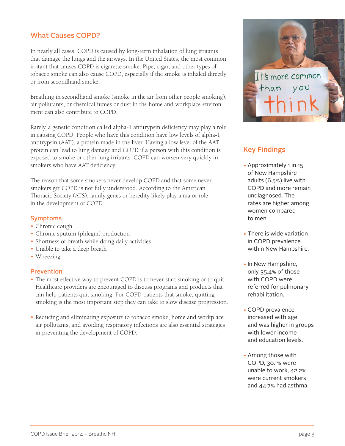## What Causes COPD?

In nearly all cases, COPD is caused by long-term inhalation of lung irritants that damage the lungs and the airways. In the United States, the most common irritant that causes COPD is cigarette smoke. Pipe, cigar, and other types of tobacco smoke can also cause COPD, especially if the smoke is inhaled directly or from secondhand smoke.

Breathing in secondhand smoke (smoke in the air from other people smoking), air pollutants, or chemical fumes or dust in the home and workplace environment can also contribute to COPD.

Rarely, a genetic condition called alpha-1 antitrypsin deficiency may play a role in causing COPD. People who have this condition have low levels of alpha-1 antitrypsin (AAT), a protein made in the liver. Having a low level of the AAT protein can lead to lung damage and COPD if a person with this condition is exposed to smoke or other lung irritants. COPD can worsen very quickly in smokers who have AAT deficiency.

The reason that some smokers never develop COPD and that some neversmokers get COPD is not fully understood. According to the American Thoracic Society (ATS), family genes or heredity likely play a major role in the development of COPD.

#### Symptoms

- Chronic cough
- Chronic sputum (phlegm) production
- Shortness of breath while doing daily activities
- Unable to take a deep breath
- Wheezing

#### Prevention

- The most effective way to prevent COPD is to never start smoking or to quit. Healthcare providers are encouraged to discuss programs and products that can help patients quit smoking. For COPD patients that smoke, quitting smoking is the most important step they can take to slow disease progression.
- Reducing and eliminating exposure to tobacco smoke, home and workplace air pollutants, and avoiding respiratory infections are also essential strategies in preventing the development of COPD.



## Key Findings

- Approximately 1 in 15 of New Hampshire adults (6.5%) live with COPD and more remain undiagnosed. The rates are higher among women compared to men.
- There is wide variation in COPD prevalence within New Hampshire.
- In New Hampshire, only 35.4% of those with COPD were referred for pulmonary rehabilitation.
- COPD prevalence increased with age and was higher in groups with lower income and education levels.
- Among those with COPD, 30.1% were unable to work, 42.2% were current smokers and 44.7% had asthma.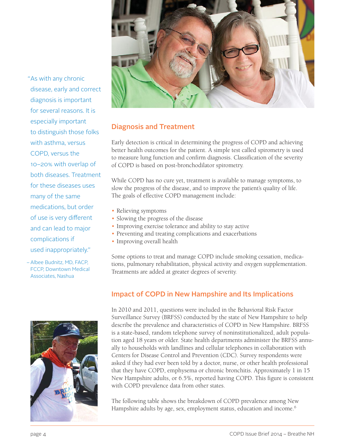

Diagnosis and Treatment

Early detection is critical in determining the progress of COPD and achieving better health outcomes for the patient. A simple test called spirometry is used to measure lung function and confirm diagnosis. Classification of the severity of COPD is based on post-bronchodilator spirometry.

While COPD has no cure yet, treatment is available to manage symptoms, to slow the progress of the disease, and to improve the patient's quality of life. The goals of effective COPD management include:

- Relieving symptoms
- Slowing the progress of the disease
- Improving exercise tolerance and ability to stay active
- Preventing and treating complications and exacerbations
- Improving overall health

Some options to treat and manage COPD include smoking cessation, medications, pulmonary rehabilitation, physical activity and oxygen supplementation. Treatments are added at greater degrees of severity.

## Impact of COPD in New Hampshire and Its Implications

In 2010 and 2011, questions were included in the Behavioral Risk Factor Surveillance Survey (BRFSS) conducted by the state of New Hampshire to help describe the prevalence and characteristics of COPD in New Hampshire. BRFSS is a state-based, random telephone survey of noninstitutionalized, adult population aged 18 years or older. State health departments administer the BRFSS annually to households with landlines and cellular telephones in collaboration with Centers for Disease Control and Prevention (CDC). Survey respondents were asked if they had ever been told by a doctor, nurse, or other health professional that they have COPD, emphysema or chronic bronchitis. Approximately 1 in 15 New Hampshire adults, or 6.5%, reported having COPD. This figure is consistent with COPD prevalence data from other states.

The following table shows the breakdown of COPD prevalence among New Hampshire adults by age, sex, employment status, education and income.<sup>6</sup>

As with any chronic " disease, early and correct diagnosis is important for several reasons. It is especially important to distinguish those folks with asthma, versus COPD, versus the 10–20% with overlap of both diseases. Treatment for these diseases uses many of the same medications, but order of use is very different and can lead to major complications if used inappropriately."

Albee Budnitz, MD, FACP, –FCCP, Downtown Medical Associates, Nashua

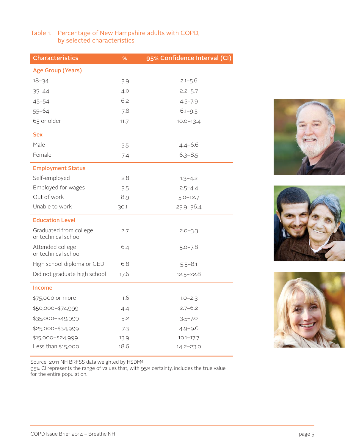#### Table 1. Percentage of New Hampshire adults with COPD, by selected characteristics

| <b>Characteristics</b>                        | %    | 95% Confidence Interval (CI) |
|-----------------------------------------------|------|------------------------------|
| <b>Age Group (Years)</b>                      |      |                              |
| $18 - 34$                                     | 3.9  | $2.1 - 5.6$                  |
| $35 - 44$                                     | 4.0  | $2.2 - 5.7$                  |
| $45 - 54$                                     | 6.2  | $4.5 - 7.9$                  |
| $55 - 64$                                     | 7.8  | $6.1 - 9.5$                  |
| 65 or older                                   | 11.7 | $10.0 - 13.4$                |
| <b>Sex</b>                                    |      |                              |
| Male                                          | 5.5  | $4.4 - 6.6$                  |
| Female                                        | 7.4  | $6.3 - 8.5$                  |
| <b>Employment Status</b>                      |      |                              |
| Self-employed                                 | 2.8  | $1.3 - 4.2$                  |
| Employed for wages                            | 3.5  | $2.5 - 4.4$                  |
| Out of work                                   | 8.9  | $5.0 - 12.7$                 |
| Unable to work                                | 30.1 | $23.9 - 36.4$                |
| <b>Education Level</b>                        |      |                              |
| Graduated from college<br>or technical school | 2.7  | $2.0 - 3.3$                  |
| Attended college<br>or technical school       | 6.4  | $5.0 - 7.8$                  |
| High school diploma or GED                    | 6.8  | $5.5 - 8.1$                  |
| Did not graduate high school                  | 17.6 | $12.5 - 22.8$                |
| <b>Income</b>                                 |      |                              |
| \$75,000 or more                              | 1.6  | $1.0 - 2.3$                  |
| \$50,000-\$74,999                             | 4.4  | $2.7 - 6.2$                  |
| \$35,000-\$49,999                             | 5.2  | $3.5 - 7.0$                  |
| \$25,000-\$34,999                             | 7.3  | $4.9 - 9.6$                  |
| \$15,000-\$24,999                             | 13.9 | $10.1 - 17.7$                |
| Less than \$15,000                            | 18.6 | 14.2-23.0                    |





Source: 2011 NH BRFSS data weighted by HSDM6

95% CI represents the range of values that, with 95% certainty, includes the true value for the entire population.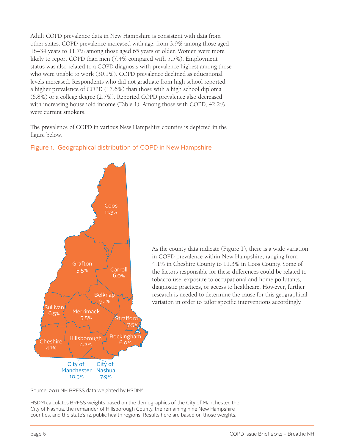Adult COPD prevalence data in New Hampshire is consistent with data from other states. COPD prevalence increased with age, from 3.9% among those aged 18–34 years to 11.7% among those aged 65 years or older. Women were more likely to report COPD than men (7.4% compared with 5.5%). Employment status was also related to a COPD diagnosis with prevalence highest among those who were unable to work (30.1%). COPD prevalence declined as educational levels increased. Respondents who did not graduate from high school reported a higher prevalence of COPD (17.6%) than those with a high school diploma (6.8%) or a college degree (2.7%). Reported COPD prevalence also decreased with increasing household income (Table 1). Among those with COPD, 42.2% were current smokers.

The prevalence of COPD in various New Hampshire counties is depicted in the figure below.

## Figure 1. Geographical distribution of COPD in New Hampshire



As the county data indicate (Figure 1), there is a wide variation in COPD prevalence within New Hampshire, ranging from 4.1% in Cheshire County to 11.3% in Coos County. Some of the factors responsible for these differences could be related to tobacco use, exposure to occupational and home pollutants, diagnostic practices, or access to healthcare. However, further research is needed to determine the cause for this geographical variation in order to tailor specific interventions accordingly.

Source: 2011 NH BRFSS data weighted by HSDM6

HSDM calculates BRFSS weights based on the demographics of the City of Manchester, the City of Nashua, the remainder of Hillsborough County, the remaining nine New Hampshire counties, and the state's 14 public health regions. Results here are based on those weights.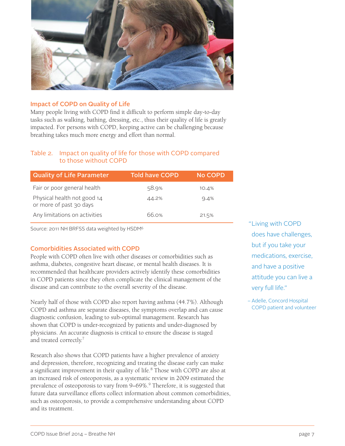

#### Impact of COPD on Quality of Life

Many people living with COPD find it difficult to perform simple day-to-day tasks such as walking, bathing, dressing, etc., thus their quality of life is greatly impacted. For persons with COPD, keeping active can be challenging because breathing takes much more energy and effort than normal.

#### Table 2. Impact on quality of life for those with COPD compared to those without COPD

| <b>Quality of Life Parameter</b>                       | <b>Told have COPD</b> | No COPD |
|--------------------------------------------------------|-----------------------|---------|
| Fair or poor general health                            | 58.9%                 | 10.4%   |
| Physical health not good 14<br>or more of past 30 days | 44.2%                 | 9.4%    |
| Any limitations on activities                          | 66.0%                 | 21.5%   |

Source: 2011 NH BRFSS data weighted by HSDM6

#### Comorbidities Associated with COPD

People with COPD often live with other diseases or comorbidities such as asthma, diabetes, congestive heart disease, or mental health diseases. It is recommended that healthcare providers actively identify these comorbidities in COPD patients since they often complicate the clinical management of the disease and can contribute to the overall severity of the disease.

Nearly half of those with COPD also report having asthma (44.7%). Although COPD and asthma are separate diseases, the symptoms overlap and can cause diagnostic confusion, leading to sub-optimal management. Research has shown that COPD is under-recognized by patients and under-diagnosed by physicians. An accurate diagnosis is critical to ensure the disease is staged and treated correctly.<sup>7</sup>

Research also shows that COPD patients have a higher prevalence of anxiety and depression, therefore, recognizing and treating the disease early can make a significant improvement in their quality of life.<sup>8</sup> Those with COPD are also at an increased risk of osteoporosis, as a systematic review in 2009 estimated the prevalence of osteoporosis to vary from 9–69%.9 Therefore, it is suggested that future data surveillance efforts collect information about common comorbidities, such as osteoporosis, to provide a comprehensive understanding about COPD and its treatment.

"Living with COPD does have challenges, but if you take your medications, exercise, and have a positive attitude you can live a very full life."

- Adelle, Concord Hospital COPD patient and volunteer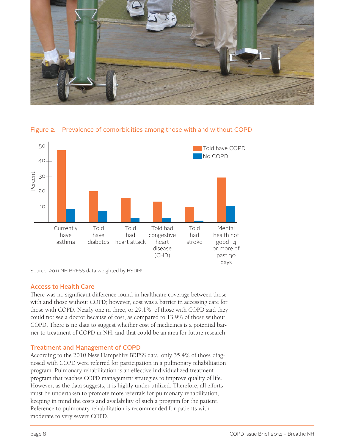



Figure 2. Prevalence of comorbidities among those with and without COPD

Source: 2011 NH BRFSS data weighted by HSDM6

#### Access to Health Care

There was no significant difference found in healthcare coverage between those with and those without COPD; however, cost was a barrier in accessing care for those with COPD. Nearly one in three, or 29.1%, of those with COPD said they could not see a doctor because of cost, as compared to 13.9% of those without COPD. There is no data to suggest whether cost of medicines is a potential barrier to treatment of COPD in NH, and that could be an area for future research.

#### Treatment and Management of COPD

According to the 2010 New Hampshire BRFSS data, only 35.4% of those diagnosed with COPD were referred for participation in a pulmonary rehabilitation program. Pulmonary rehabilitation is an effective individualized treatment program that teaches COPD management strategies to improve quality of life. However, as the data suggests, it is highly under-utilized. Therefore, all efforts must be undertaken to promote more referrals for pulmonary rehabilitation, keeping in mind the costs and availability of such a program for the patient. Reference to pulmonary rehabilitation is recommended for patients with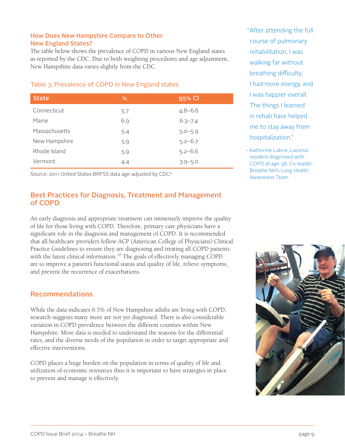#### How Does New Hampshire Compare to Other New England States?

The table below shows the prevalence of COPD in various New England states as reported by the CDC. Due to both weighting procedures and age adjustment, New Hampshire data varies slightly from the CDC.

#### Table 3. Prevalence of COPD in New England states

| <b>State</b>  | %   | 95% CI      |
|---------------|-----|-------------|
| Connecticut   | 5.7 | $4.8 - 6.6$ |
| Maine         | 6.9 | $6.3 - 7.4$ |
| Massachusetts | 5.4 | $5.0 - 5.9$ |
| New Hampshire | 5.9 | $5.2 - 6.7$ |
| Rhode Island  | 5.9 | $5.2 - 6.6$ |
| Vermont       | 4.4 | $3.9 - 5.0$ |

Source: 2011 United States BRFSS data age-adjusted by CDC2

## Best Practices for Diagnosis, Treatment and Management of COPD

An early diagnosis and appropriate treatment can immensely improve the quality of life for those living with COPD. Therefore, primary care physicians have a significant role in the diagnosis and management of COPD. It is recommended that all healthcare providers follow ACP (American College of Physicians) Clinical Practice Guidelines to ensure they are diagnosing and treating all COPD patients with the latest clinical information.<sup>10</sup> The goals of effectively managing COPD are to improve a patient's functional status and quality of life, relieve symptoms, and prevent the recurrence of exacerbations.

## Recommendations

While the data indicates 6.5% of New Hampshire adults are living with COPD, research suggests many more are not yet diagnosed. There is also considerable variation in COPD prevalence between the different counties within New Hampshire. More data is needed to understand the reasons for the differential rates, and the diverse needs of the population in order to target appropriate and effective interventions.

COPD places a huge burden on the population in terms of quality of life and utilization of economic resources thus it is important to have strategies in place to prevent and manage it effectively.

After attending the full " course of pulmonary rehabilitation, I was walking far without breathing difficulty, I had more energy, and I was happier overall. The things I learned in rehab have helped me to stay away from hospitalization."

– Katherine Labrie, Laconia resident diagnosed with COPD at age 38. Co-leader, Breathe NH's Lung Health Awareness Team

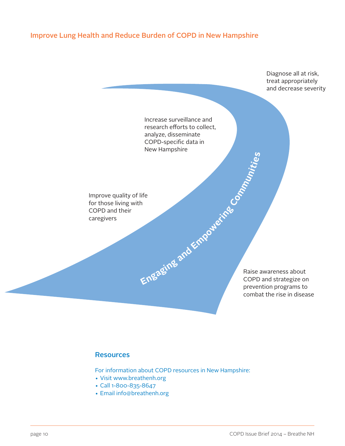## Improve Lung Health and Reduce Burden of COPD in New Hampshire



#### **Resources**

For information about COPD resources in New Hampshire:

- Visit www.breathenh.org
- Call 1-800-835-8647
- Email info@breathenh.org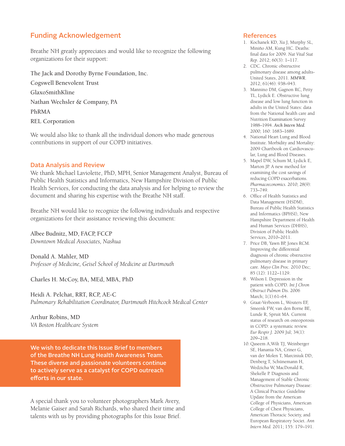## Funding Acknowledgement

Breathe NH greatly appreciates and would like to recognize the following organizations for their support:

The Jack and Dorothy Byrne Foundation, Inc. Cogswell Benevolent Trust GlaxoSmithKline

Nathan Wechsler & Company, PA

PhRMA

REL Corporation

We would also like to thank all the individual donors who made generous contributions in support of our COPD initiatives.

#### Data Analysis and Review

We thank Michael Laviolette, PhD, MPH, Senior Management Analyst, Bureau of Public Health Statistics and Informatics, New Hampshire Division of Public Health Services, for conducting the data analysis and for helping to review the document and sharing his expertise with the Breathe NH staff.

Breathe NH would like to recognize the following individuals and respective organizations for their assistance reviewing this document:

Albee Budnitz, MD, FACP, FCCP *Downtown Medical Associates, Nashua*

Donald A. Mahler, MD *Professor of Medicine, Geisel School of Medicine at Dartmouth*

Charles H. McCoy, BA, MEd, MBA, PhD

Heidi A. Pelchat, RRT, RCP, AE-C *Pulmonary Rehabilitation Coordinator, Dartmouth Hitchcock Medical Center*

Arthur Robins, MD *VA Boston Healthcare System*

We wish to dedicate this Issue Brief to members of the Breathe NH Lung Health Awareness Team. These diverse and passionate volunteers continue to actively serve as a catalyst for COPD outreach efforts in our state.

A special thank you to volunteer photographers Mark Avery, Melanie Gaiser and Sarah Richards, who shared their time and talents with us by providing photographs for this Issue Brief.

#### References

- 1. Kochanek KD, Xu J, Murphy SL, Miniño AM, Kung HC. Deaths: final data for 2009. *Nat Vital Stat Rep.* 2012; 60(3): 1–117.
- 2. CDC. Chronic obstructive pulmonary disease among adults-United States, 2011. *MMWR*. 2012; 61(46): 938–943.
- 3. Mannino DM, Gagnon RC, Petty TL, Lydick E. Obstructive lung disease and low lung function in adults in the United States: data from the National health care and Nutrition Examination Survey 1988–1994. *Arch Intern Med.* 2000; 160: 1683–1689.
- 4. National Heart Lung and Blood Institute. Morbidity and Mortality: 2009 Chartbook on Cardiovascular, Lung and Blood Diseases.
- 5. Mapel DW, Schum M, Lydick E, Marton JP. A new method for examining the cost savings of reducing COPD exacerbations. *Pharmacoeconomics*. 2010; 28(9): 733–749.
- 6. Office of Health Statistics and Data Management (HSDM), Bureau of Public Health Statistics and Informatics (BPHSI), New Hampshire Department of Health and Human Services (DHHS), Division of Public Health Services, 2010–2011.
- 7. Price DB, Yawn BP, Jones RCM. Improving the differential diagnosis of chronic obstructive pulmonary disease in primary care. *Mayo Clin Proc.* 2010 Dec; 85 (12): 1122–1129.
- 8. Wilson I. Depression in the patient with COPD. *Int J Chron Obstruct Pulmon Dis.* 2006 March; 1(1):61–64.
- 9. Graat-Verboom L, Wouters EF, Smeenk FW, van den Borne BE, Lunde R, Spruit MA. Current status of research on osteoporosis in COPD: a systematic review. *Eur Respir J.* 2009 Jul; 34(1): 209–218.
- 10. Qaseem A,Wilt TJ, Weinberger SE, Hanania NA, Criner G, van der Molen T, Marciniuk DD, Denberg T, Schünemann H, Wedzicha W, MacDonald R, Shekelle P. Diagnosis and Management of Stable Chronic Obstructive Pulmonary Disease: A Clinical Practice Guideline Update from the American College of Physicians, American College of Chest Physicians, American Thoracic Society, and European Respiratory Societ. *Ann Intern Med.* 2011; 155: 179–191.